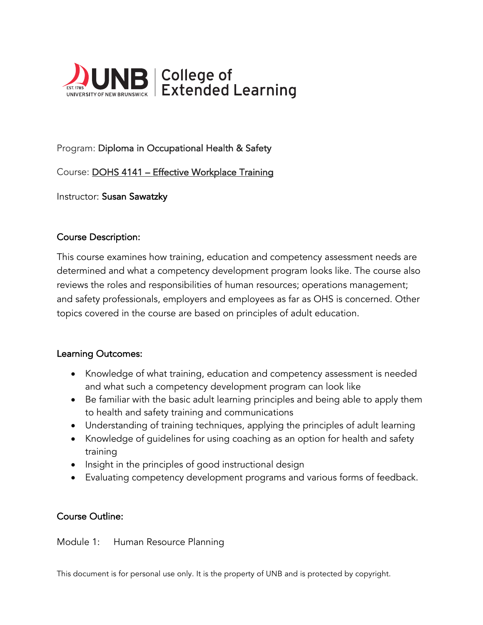

# Program: Diploma in Occupational Health & Safety

Course: DOHS 4141 – Effective Workplace Training

Instructor: Susan Sawatzky

### Course Description:

This course examines how training, education and competency assessment needs are determined and what a competency development program looks like. The course also reviews the roles and responsibilities of human resources; operations management; and safety professionals, employers and employees as far as OHS is concerned. Other topics covered in the course are based on principles of adult education.

#### Learning Outcomes:

- Knowledge of what training, education and competency assessment is needed and what such a competency development program can look like
- Be familiar with the basic adult learning principles and being able to apply them to health and safety training and communications
- Understanding of training techniques, applying the principles of adult learning
- Knowledge of guidelines for using coaching as an option for health and safety training
- Insight in the principles of good instructional design
- Evaluating competency development programs and various forms of feedback.

### Course Outline:

Module 1: Human Resource Planning

This document is for personal use only. It is the property of UNB and is protected by copyright.